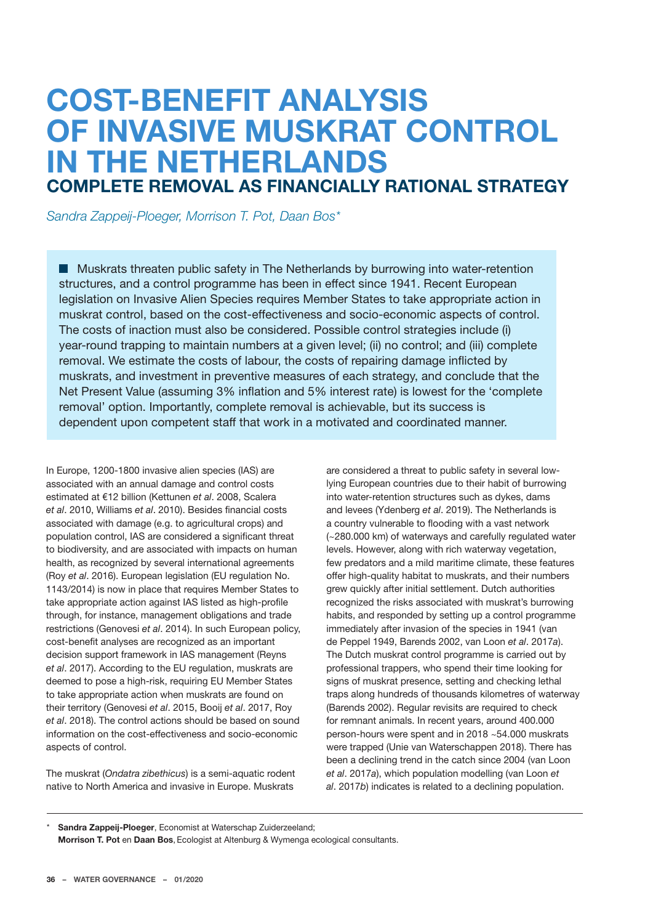# **COST-BENEFIT ANALYSIS OF INVASIVE MUSKRAT CONTROL IN THE NETHERLANDS COMPLETE REMOVAL AS FINANCIALLY RATIONAL STRATEGY**

*Sandra Zappeij-Ploeger, Morrison T. Pot, Daan Bos\**

**Muskrats threaten public safety in The Netherlands by burrowing into water-retention** structures, and a control programme has been in effect since 1941. Recent European legislation on Invasive Alien Species requires Member States to take appropriate action in muskrat control, based on the cost-effectiveness and socio-economic aspects of control. The costs of inaction must also be considered. Possible control strategies include (i) year-round trapping to maintain numbers at a given level; (ii) no control; and (iii) complete removal. We estimate the costs of labour, the costs of repairing damage inflicted by muskrats, and investment in preventive measures of each strategy, and conclude that the Net Present Value (assuming 3% inflation and 5% interest rate) is lowest for the 'complete removal' option. Importantly, complete removal is achievable, but its success is dependent upon competent staff that work in a motivated and coordinated manner.

In Europe, 1200-1800 invasive alien species (IAS) are associated with an annual damage and control costs estimated at €12 billion (Kettunen *et al*. 2008, Scalera *et al*. 2010, Williams *et al*. 2010). Besides financial costs associated with damage (e.g. to agricultural crops) and population control, IAS are considered a significant threat to biodiversity, and are associated with impacts on human health, as recognized by several international agreements (Roy *et al*. 2016). European legislation (EU regulation No. 1143/2014) is now in place that requires Member States to take appropriate action against IAS listed as high-profile through, for instance, management obligations and trade restrictions (Genovesi *et al*. 2014). In such European policy, cost-benefit analyses are recognized as an important decision support framework in IAS management (Reyns *et al*. 2017). According to the EU regulation, muskrats are deemed to pose a high-risk, requiring EU Member States to take appropriate action when muskrats are found on their territory (Genovesi *et al*. 2015, Booij *et al*. 2017, Roy *et al*. 2018). The control actions should be based on sound information on the cost-effectiveness and socio-economic aspects of control.

The muskrat (*Ondatra zibethicus*) is a semi-aquatic rodent native to North America and invasive in Europe. Muskrats

are considered a threat to public safety in several lowlying European countries due to their habit of burrowing into water-retention structures such as dykes, dams and levees (Ydenberg *et al*. 2019). The Netherlands is a country vulnerable to flooding with a vast network (~280.000 km) of waterways and carefully regulated water levels. However, along with rich waterway vegetation, few predators and a mild maritime climate, these features offer high-quality habitat to muskrats, and their numbers grew quickly after initial settlement. Dutch authorities recognized the risks associated with muskrat's burrowing habits, and responded by setting up a control programme immediately after invasion of the species in 1941 (van de Peppel 1949, Barends 2002, van Loon *et al*. 2017*a*). The Dutch muskrat control programme is carried out by professional trappers, who spend their time looking for signs of muskrat presence, setting and checking lethal traps along hundreds of thousands kilometres of waterway (Barends 2002). Regular revisits are required to check for remnant animals. In recent years, around 400.000 person-hours were spent and in 2018 ~54.000 muskrats were trapped (Unie van Waterschappen 2018). There has been a declining trend in the catch since 2004 (van Loon *et al*. 2017*a*), which population modelling (van Loon *et al*. 2017*b*) indicates is related to a declining population.

**Sandra Zappeij-Ploeger**, Economist at Waterschap Zuiderzeeland; **Morrison T. Pot** en **Daan Bos**, Ecologist at Altenburg & Wymenga ecological consultants.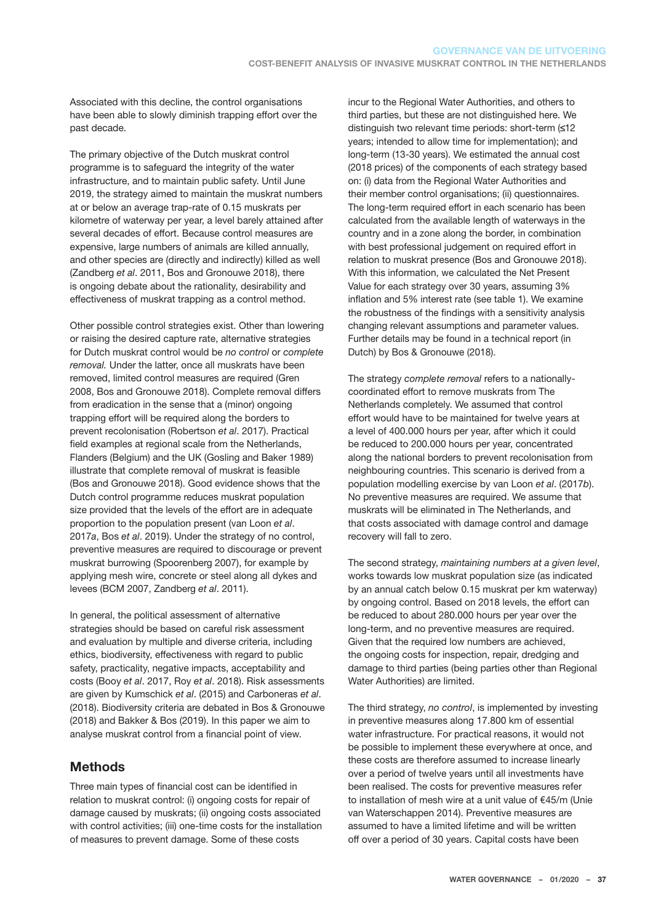Associated with this decline, the control organisations have been able to slowly diminish trapping effort over the past decade.

The primary objective of the Dutch muskrat control programme is to safeguard the integrity of the water infrastructure, and to maintain public safety. Until June 2019, the strategy aimed to maintain the muskrat numbers at or below an average trap-rate of 0.15 muskrats per kilometre of waterway per year, a level barely attained after several decades of effort. Because control measures are expensive, large numbers of animals are killed annually, and other species are (directly and indirectly) killed as well (Zandberg *et al*. 2011, Bos and Gronouwe 2018), there is ongoing debate about the rationality, desirability and effectiveness of muskrat trapping as a control method.

Other possible control strategies exist. Other than lowering or raising the desired capture rate, alternative strategies for Dutch muskrat control would be *no control* or *complete removal.* Under the latter, once all muskrats have been removed, limited control measures are required (Gren 2008, Bos and Gronouwe 2018). Complete removal differs from eradication in the sense that a (minor) ongoing trapping effort will be required along the borders to prevent recolonisation (Robertson *et al*. 2017). Practical field examples at regional scale from the Netherlands, Flanders (Belgium) and the UK (Gosling and Baker 1989) illustrate that complete removal of muskrat is feasible (Bos and Gronouwe 2018). Good evidence shows that the Dutch control programme reduces muskrat population size provided that the levels of the effort are in adequate proportion to the population present (van Loon *et al*. 2017*a*, Bos *et al*. 2019). Under the strategy of no control, preventive measures are required to discourage or prevent muskrat burrowing (Spoorenberg 2007), for example by applying mesh wire, concrete or steel along all dykes and levees (BCM 2007, Zandberg *et al*. 2011).

In general, the political assessment of alternative strategies should be based on careful risk assessment and evaluation by multiple and diverse criteria, including ethics, biodiversity, effectiveness with regard to public safety, practicality, negative impacts, acceptability and costs (Booy *et al*. 2017, Roy *et al*. 2018). Risk assessments are given by Kumschick *et al*. (2015) and Carboneras *et al*. (2018). Biodiversity criteria are debated in Bos & Gronouwe (2018) and Bakker & Bos (2019). In this paper we aim to analyse muskrat control from a financial point of view.

## **Methods**

Three main types of financial cost can be identified in relation to muskrat control: (i) ongoing costs for repair of damage caused by muskrats; (ii) ongoing costs associated with control activities; (iii) one-time costs for the installation of measures to prevent damage. Some of these costs

incur to the Regional Water Authorities, and others to third parties, but these are not distinguished here. We distinguish two relevant time periods: short-term  $(12)$ years; intended to allow time for implementation); and long-term (13-30 years). We estimated the annual cost (2018 prices) of the components of each strategy based on: (i) data from the Regional Water Authorities and their member control organisations; (ii) questionnaires. The long-term required effort in each scenario has been calculated from the available length of waterways in the country and in a zone along the border, in combination with best professional judgement on required effort in relation to muskrat presence (Bos and Gronouwe 2018). With this information, we calculated the Net Present Value for each strategy over 30 years, assuming 3% inflation and 5% interest rate (see table 1). We examine the robustness of the findings with a sensitivity analysis changing relevant assumptions and parameter values. Further details may be found in a technical report (in Dutch) by Bos & Gronouwe (2018).

The strategy *complete removal* refers to a nationallycoordinated effort to remove muskrats from The Netherlands completely. We assumed that control effort would have to be maintained for twelve years at a level of 400.000 hours per year, after which it could be reduced to 200.000 hours per year, concentrated along the national borders to prevent recolonisation from neighbouring countries. This scenario is derived from a population modelling exercise by van Loon *et al*. (2017*b*). No preventive measures are required. We assume that muskrats will be eliminated in The Netherlands, and that costs associated with damage control and damage recovery will fall to zero.

The second strategy, *maintaining numbers at a given level*, works towards low muskrat population size (as indicated by an annual catch below 0.15 muskrat per km waterway) by ongoing control. Based on 2018 levels, the effort can be reduced to about 280.000 hours per year over the long-term, and no preventive measures are required. Given that the required low numbers are achieved, the ongoing costs for inspection, repair, dredging and damage to third parties (being parties other than Regional Water Authorities) are limited.

The third strategy, *no control*, is implemented by investing in preventive measures along 17.800 km of essential water infrastructure. For practical reasons, it would not be possible to implement these everywhere at once, and these costs are therefore assumed to increase linearly over a period of twelve years until all investments have been realised. The costs for preventive measures refer to installation of mesh wire at a unit value of €45/m (Unie van Waterschappen 2014). Preventive measures are assumed to have a limited lifetime and will be written off over a period of 30 years. Capital costs have been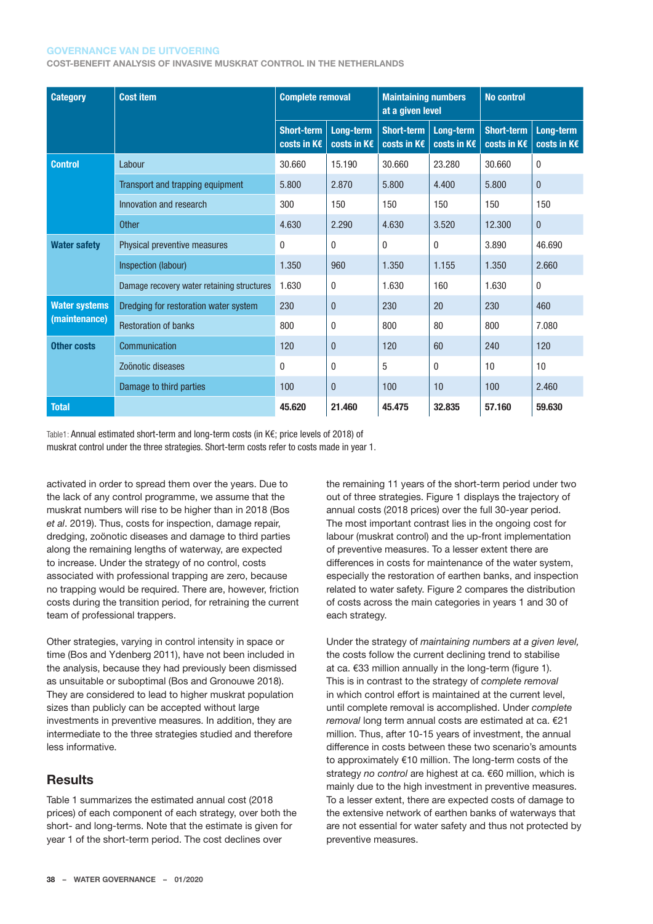#### **GOVERNANCE VAN DE UITVOERING**

**COST-BENEFIT ANALYSIS OF INVASIVE MUSKRAT CONTROL IN THE NETHERLANDS**

| <b>Category</b>                       | <b>Cost item</b>                           | <b>Complete removal</b>          |                          | <b>Maintaining numbers</b><br>at a given level |                          | <b>No control</b>                |                          |
|---------------------------------------|--------------------------------------------|----------------------------------|--------------------------|------------------------------------------------|--------------------------|----------------------------------|--------------------------|
|                                       |                                            | <b>Short-term</b><br>costs in K€ | Long-term<br>costs in K€ | <b>Short-term</b><br>costs in K€               | Long-term<br>costs in K€ | <b>Short-term</b><br>costs in K€ | Long-term<br>costs in K€ |
| <b>Control</b>                        | Labour                                     | 30.660                           | 15.190                   | 30.660                                         | 23.280                   | 30.660                           | $\mathbf{0}$             |
|                                       | Transport and trapping equipment           | 5.800                            | 2.870                    | 5.800                                          | 4.400                    | 5.800                            | $\mathbf{0}$             |
|                                       | Innovation and research                    | 300                              | 150                      | 150                                            | 150                      | 150                              | 150                      |
|                                       | <b>Other</b>                               | 4.630                            | 2.290                    | 4.630                                          | 3.520                    | 12.300                           | $\mathbf{0}$             |
| <b>Water safety</b>                   | Physical preventive measures               | 0                                | $\mathbf{0}$             | $\mathbf{0}$                                   | $\bf{0}$                 | 3.890                            | 46.690                   |
|                                       | Inspection (labour)                        | 1.350                            | 960                      | 1.350                                          | 1.155                    | 1.350                            | 2.660                    |
|                                       | Damage recovery water retaining structures | 1.630                            | $\mathbf{0}$             | 1.630                                          | 160                      | 1.630                            | $\mathbf{0}$             |
| <b>Water systems</b><br>(maintenance) | Dredging for restoration water system      | 230                              | $\mathbf{0}$             | 230                                            | 20                       | 230                              | 460                      |
|                                       | <b>Restoration of banks</b>                | 800                              | $\mathbf{0}$             | 800                                            | 80                       | 800                              | 7.080                    |
| <b>Other costs</b>                    | Communication                              | 120                              | $\mathbf{0}$             | 120                                            | 60                       | 240                              | 120                      |
|                                       | Zoönotic diseases                          | 0                                | $\mathbf{0}$             | 5                                              | 0                        | 10                               | 10                       |
|                                       | Damage to third parties                    | 100                              | $\mathbf{0}$             | 100                                            | 10                       | 100                              | 2.460                    |
| <b>Total</b>                          |                                            | 45.620                           | 21.460                   | 45.475                                         | 32.835                   | 57.160                           | 59,630                   |

Table1: Annual estimated short-term and long-term costs (in K€; price levels of 2018) of muskrat control under the three strategies. Short-term costs refer to costs made in year 1.

activated in order to spread them over the years. Due to the lack of any control programme, we assume that the muskrat numbers will rise to be higher than in 2018 (Bos *et al*. 2019). Thus, costs for inspection, damage repair, dredging, zoönotic diseases and damage to third parties along the remaining lengths of waterway, are expected to increase. Under the strategy of no control, costs associated with professional trapping are zero, because no trapping would be required. There are, however, friction costs during the transition period, for retraining the current team of professional trappers.

Other strategies, varying in control intensity in space or time (Bos and Ydenberg 2011), have not been included in the analysis, because they had previously been dismissed as unsuitable or suboptimal (Bos and Gronouwe 2018). They are considered to lead to higher muskrat population sizes than publicly can be accepted without large investments in preventive measures. In addition, they are intermediate to the three strategies studied and therefore less informative.

#### **Results**

Table 1 summarizes the estimated annual cost (2018 prices) of each component of each strategy, over both the short- and long-terms. Note that the estimate is given for year 1 of the short-term period. The cost declines over

the remaining 11 years of the short-term period under two out of three strategies. Figure 1 displays the trajectory of annual costs (2018 prices) over the full 30-year period. The most important contrast lies in the ongoing cost for labour (muskrat control) and the up-front implementation of preventive measures. To a lesser extent there are differences in costs for maintenance of the water system, especially the restoration of earthen banks, and inspection related to water safety. Figure 2 compares the distribution of costs across the main categories in years 1 and 30 of each strategy.

Under the strategy of *maintaining numbers at a given level,*  the costs follow the current declining trend to stabilise at ca. €33 million annually in the long-term (figure 1). This is in contrast to the strategy of *complete removal*  in which control effort is maintained at the current level, until complete removal is accomplished. Under *complete removal* long term annual costs are estimated at ca. €21 million. Thus, after 10-15 years of investment, the annual difference in costs between these two scenario's amounts to approximately €10 million. The long-term costs of the strategy *no control* are highest at ca. €60 million, which is mainly due to the high investment in preventive measures. To a lesser extent, there are expected costs of damage to the extensive network of earthen banks of waterways that are not essential for water safety and thus not protected by preventive measures.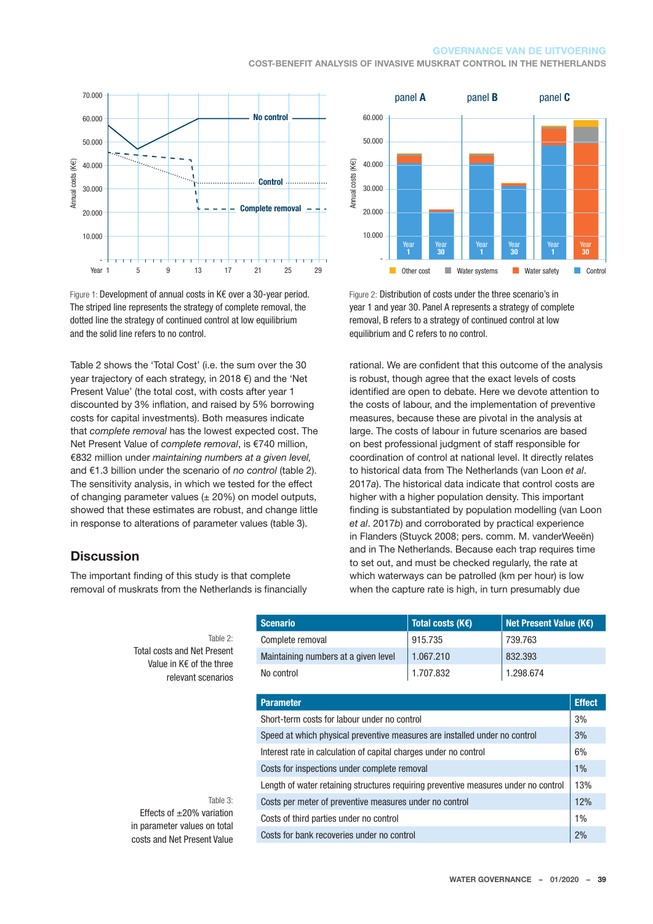#### **GOVERNANCE VAN DE UITVOERING**

**COST-BENEFIT ANALYSIS OF INVASIVE MUSKRAT CONTROL IN THE NETHERLANDS**



Figure 1: Development of annual costs in K€ over a 30-year period. The striped line represents the strategy of complete removal, the dotted line the strategy of continued control at low equilibrium and the solid line refers to no control.

Table 2 shows the 'Total Cost' (i.e. the sum over the 30 year trajectory of each strategy, in 2018 €) and the 'Net Present Value' (the total cost, with costs after year 1 discounted by 3% inflation, and raised by 5% borrowing costs for capital investments). Both measures indicate that *complete removal* has the lowest expected cost. The Net Present Value of *complete removal*, is €740 million, €832 million under *maintaining numbers at a given level,* and €1.3 billion under the scenario of *no control* (table 2). The sensitivity analysis, in which we tested for the effect of changing parameter values  $(± 20%)$  on model outputs, showed that these estimates are robust, and change little in response to alterations of parameter values (table 3).

#### **Discussion**

The important finding of this study is that complete removal of muskrats from the Netherlands is financially

Total costs

Table 0:



Figure 2: Distribution of costs under the three scenario's in year 1 and year 30. Panel A represents a strategy of complete removal, B refers to a strategy of continued control at low equilibrium and C refers to no control.

rational. We are confident that this outcome of the analysis is robust, though agree that the exact levels of costs identified are open to debate. Here we devote attention to the costs of labour, and the implementation of preventive measures, because these are pivotal in the analysis at large. The costs of labour in future scenarios are based on best professional judgment of staff responsible for coordination of control at national level. It directly relates to historical data from The Netherlands (van Loon *et al*. 2017*a*). The historical data indicate that control costs are higher with a higher population density. This important finding is substantiated by population modelling (van Loon *et al*. 2017*b*) and corroborated by practical experience in Flanders (Stuyck 2008; pers. comm. M. vanderWeeën) and in The Netherlands. Because each trap requires time to set out, and must be checked regularly, the rate at which waterways can be patrolled (km per hour) is low when the capture rate is high, in turn presumably due No control<br>
No according to according the removal and the removal and the removal and the removal and the removal and the responsible to the responsible to the responsible to the responsible to the responsible to the res

| Table 2:                                             | Complete removal                                                                    | 915.735   | 739.763   |  |  |  |
|------------------------------------------------------|-------------------------------------------------------------------------------------|-----------|-----------|--|--|--|
| al costs and Net Present<br>Value in K€ of the three | Maintaining numbers at a given level                                                | 1.067.210 | 832.393   |  |  |  |
| relevant scenarios                                   | No control                                                                          | 1.707.832 | 1.298.674 |  |  |  |
|                                                      | <b>Parameter</b>                                                                    |           |           |  |  |  |
|                                                      | Short-term costs for labour under no control                                        |           |           |  |  |  |
|                                                      | Speed at which physical preventive measures are installed under no control          |           |           |  |  |  |
|                                                      | Interest rate in calculation of capital charges under no control                    |           |           |  |  |  |
|                                                      | Costs for inspections under complete removal                                        |           |           |  |  |  |
|                                                      | Length of water retaining structures requiring preventive measures under no control |           |           |  |  |  |
| Table $3:$                                           | Costs per meter of preventive measures under no control                             |           |           |  |  |  |
| fects of $\pm 20\%$ variation                        | Costs of third parties under no control                                             |           |           |  |  |  |
| arameter values on total<br>e and Not Procont Valuo  | Costs for bank recoveries under no control                                          |           |           |  |  |  |

**Scenario Total costs (K€) Net Present Value (K€)**

**Effects of** in parameter costs and Net Present Value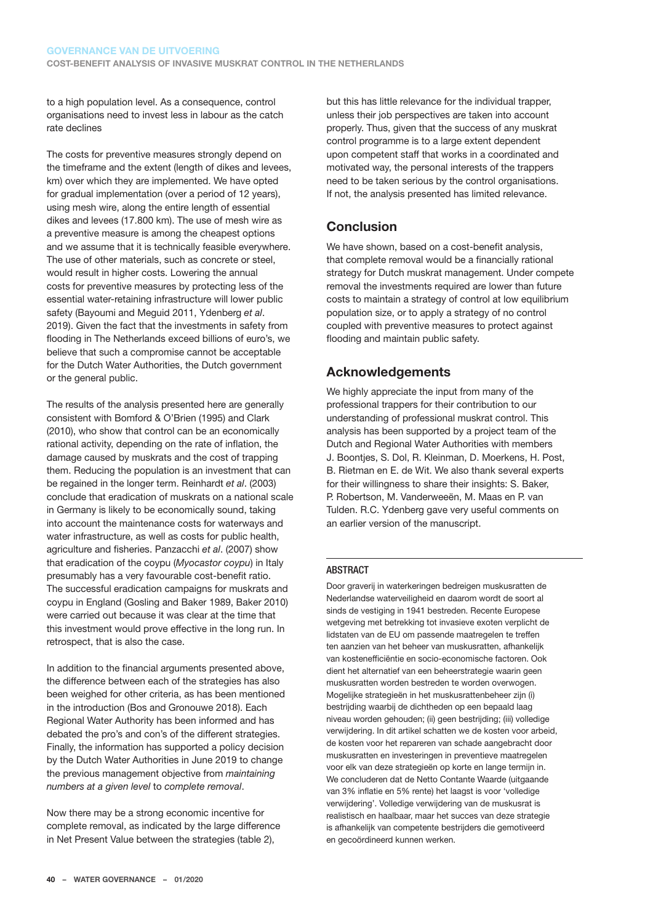to a high population level. As a consequence, control organisations need to invest less in labour as the catch rate declines

The costs for preventive measures strongly depend on the timeframe and the extent (length of dikes and levees, km) over which they are implemented. We have opted for gradual implementation (over a period of 12 years), using mesh wire, along the entire length of essential dikes and levees (17.800 km). The use of mesh wire as a preventive measure is among the cheapest options and we assume that it is technically feasible everywhere. The use of other materials, such as concrete or steel, would result in higher costs. Lowering the annual costs for preventive measures by protecting less of the essential water-retaining infrastructure will lower public safety (Bayoumi and Meguid 2011, Ydenberg *et al*. 2019). Given the fact that the investments in safety from flooding in The Netherlands exceed billions of euro's, we believe that such a compromise cannot be acceptable for the Dutch Water Authorities, the Dutch government or the general public.

The results of the analysis presented here are generally consistent with Bomford & O'Brien (1995) and Clark (2010), who show that control can be an economically rational activity, depending on the rate of inflation, the damage caused by muskrats and the cost of trapping them. Reducing the population is an investment that can be regained in the longer term. Reinhardt *et al*. (2003) conclude that eradication of muskrats on a national scale in Germany is likely to be economically sound, taking into account the maintenance costs for waterways and water infrastructure, as well as costs for public health, agriculture and fisheries. Panzacchi *et al*. (2007) show that eradication of the coypu (*Myocastor coypu*) in Italy presumably has a very favourable cost-benefit ratio. The successful eradication campaigns for muskrats and coypu in England (Gosling and Baker 1989, Baker 2010) were carried out because it was clear at the time that this investment would prove effective in the long run. In retrospect, that is also the case.

In addition to the financial arguments presented above, the difference between each of the strategies has also been weighed for other criteria, as has been mentioned in the introduction (Bos and Gronouwe 2018). Each Regional Water Authority has been informed and has debated the pro's and con's of the different strategies. Finally, the information has supported a policy decision by the Dutch Water Authorities in June 2019 to change the previous management objective from *maintaining numbers at a given level* to *complete removal*.

Now there may be a strong economic incentive for complete removal, as indicated by the large difference in Net Present Value between the strategies (table 2),

but this has little relevance for the individual trapper, unless their job perspectives are taken into account properly. Thus, given that the success of any muskrat control programme is to a large extent dependent upon competent staff that works in a coordinated and motivated way, the personal interests of the trappers need to be taken serious by the control organisations. If not, the analysis presented has limited relevance.

## **Conclusion**

We have shown, based on a cost-benefit analysis, that complete removal would be a financially rational strategy for Dutch muskrat management. Under compete removal the investments required are lower than future costs to maintain a strategy of control at low equilibrium population size, or to apply a strategy of no control coupled with preventive measures to protect against flooding and maintain public safety.

### **Acknowledgements**

We highly appreciate the input from many of the professional trappers for their contribution to our understanding of professional muskrat control. This analysis has been supported by a project team of the Dutch and Regional Water Authorities with members J. Boontjes, S. Dol, R. Kleinman, D. Moerkens, H. Post, B. Rietman en E. de Wit. We also thank several experts for their willingness to share their insights: S. Baker, P. Robertson, M. Vanderweeën, M. Maas en P. van Tulden. R.C. Ydenberg gave very useful comments on an earlier version of the manuscript.

#### **ABSTRACT**

Door graverij in waterkeringen bedreigen muskusratten de Nederlandse waterveiligheid en daarom wordt de soort al sinds de vestiging in 1941 bestreden. Recente Europese wetgeving met betrekking tot invasieve exoten verplicht de lidstaten van de EU om passende maatregelen te treffen ten aanzien van het beheer van muskusratten, afhankelijk van kostenefficiëntie en socio-economische factoren. Ook dient het alternatief van een beheerstrategie waarin geen muskusratten worden bestreden te worden overwogen. Mogelijke strategieën in het muskusrattenbeheer zijn (i) bestrijding waarbij de dichtheden op een bepaald laag niveau worden gehouden; (ii) geen bestrijding; (iii) volledige verwijdering. In dit artikel schatten we de kosten voor arbeid, de kosten voor het repareren van schade aangebracht door muskusratten en investeringen in preventieve maatregelen voor elk van deze strategieën op korte en lange termijn in. We concluderen dat de Netto Contante Waarde (uitgaande van 3% inflatie en 5% rente) het laagst is voor 'volledige verwijdering'. Volledige verwijdering van de muskusrat is realistisch en haalbaar, maar het succes van deze strategie is afhankelijk van competente bestrijders die gemotiveerd en gecoördineerd kunnen werken.